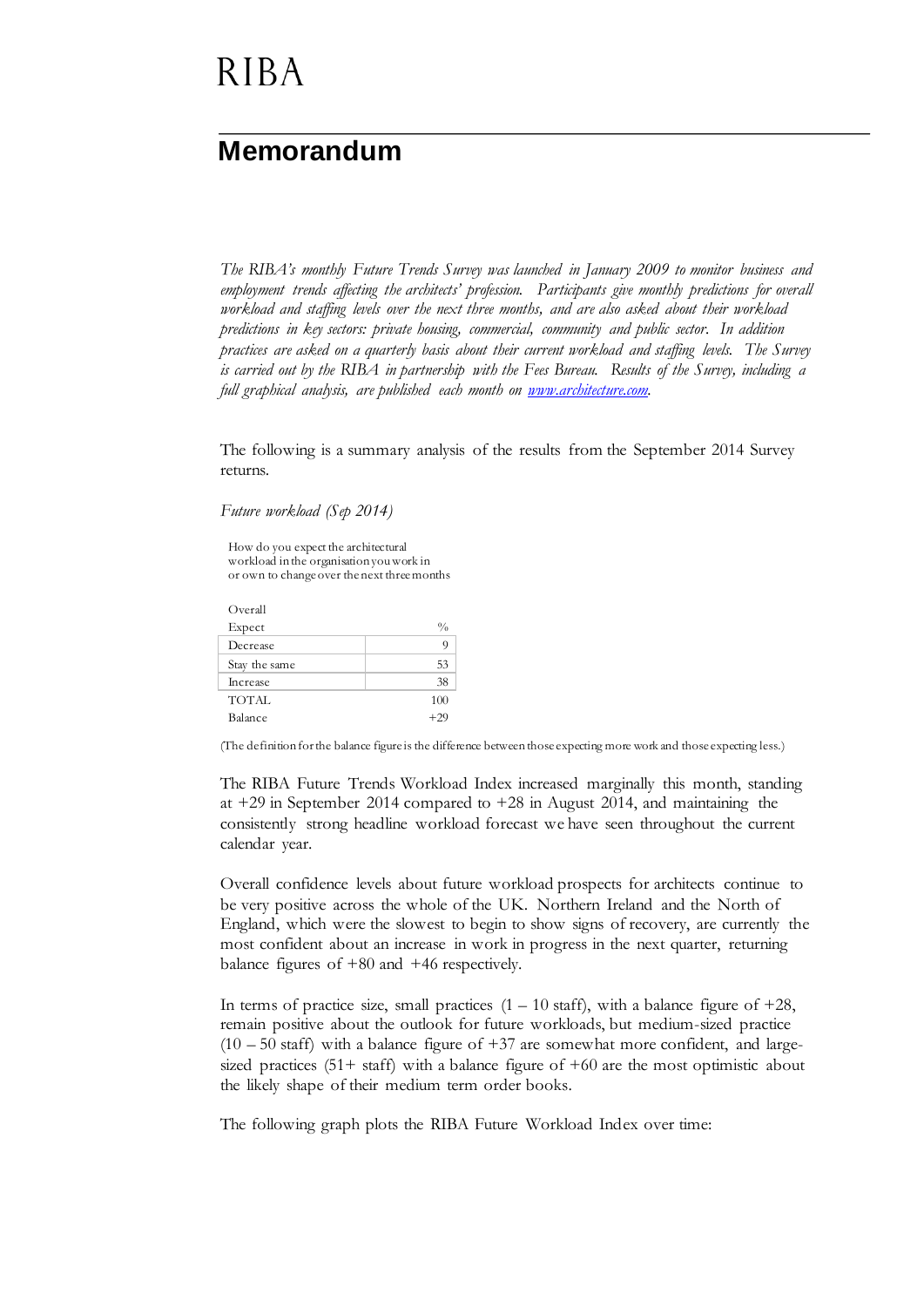# **RIBA**

### **Memorandum**

*The RIBA's monthly Future Trends Survey was launched in January 2009 to monitor business and employment trends affecting the architects' profession. Participants give monthly predictions for overall workload and staffing levels over the next three months, and are also asked about their workload predictions in key sectors: private housing, commercial, community and public sector. In addition practices are asked on a quarterly basis about their current workload and staffing levels. The Survey is carried out by the RIBA in partnership with the Fees Bureau. Results of the Survey, including a full graphical analysis, are published each month on [www.architecture.com.](http://www.architecture.com/)*

The following is a summary analysis of the results from the September 2014 Survey returns.

*Future workload (Sep 2014)*

How do you expect the architectural workload in the organisation you work in or own to change over the next three months

| Overall         |               |
|-----------------|---------------|
| Expect          | $\frac{0}{0}$ |
| Decrease        | g             |
| Stay the same   | 53            |
| <b>Increase</b> | 38            |
| <b>TOTAL</b>    | 100           |
| Balance         | $+20$         |

(The definition for the balance figure is the difference between those expecting more work and those expecting less.)

The RIBA Future Trends Workload Index increased marginally this month, standing at +29 in September 2014 compared to +28 in August 2014, and maintaining the consistently strong headline workload forecast we have seen throughout the current calendar year.

Overall confidence levels about future workload prospects for architects continue to be very positive across the whole of the UK. Northern Ireland and the North of England, which were the slowest to begin to show signs of recovery, are currently the most confident about an increase in work in progress in the next quarter, returning balance figures of +80 and +46 respectively.

In terms of practice size, small practices  $(1 - 10 \text{ staff})$ , with a balance figure of  $+28$ , remain positive about the outlook for future workloads, but medium-sized practice  $(10 - 50 \text{ staff})$  with a balance figure of +37 are somewhat more confident, and largesized practices  $(51 + \text{staff})$  with a balance figure of  $+60$  are the most optimistic about the likely shape of their medium term order books.

The following graph plots the RIBA Future Workload Index over time: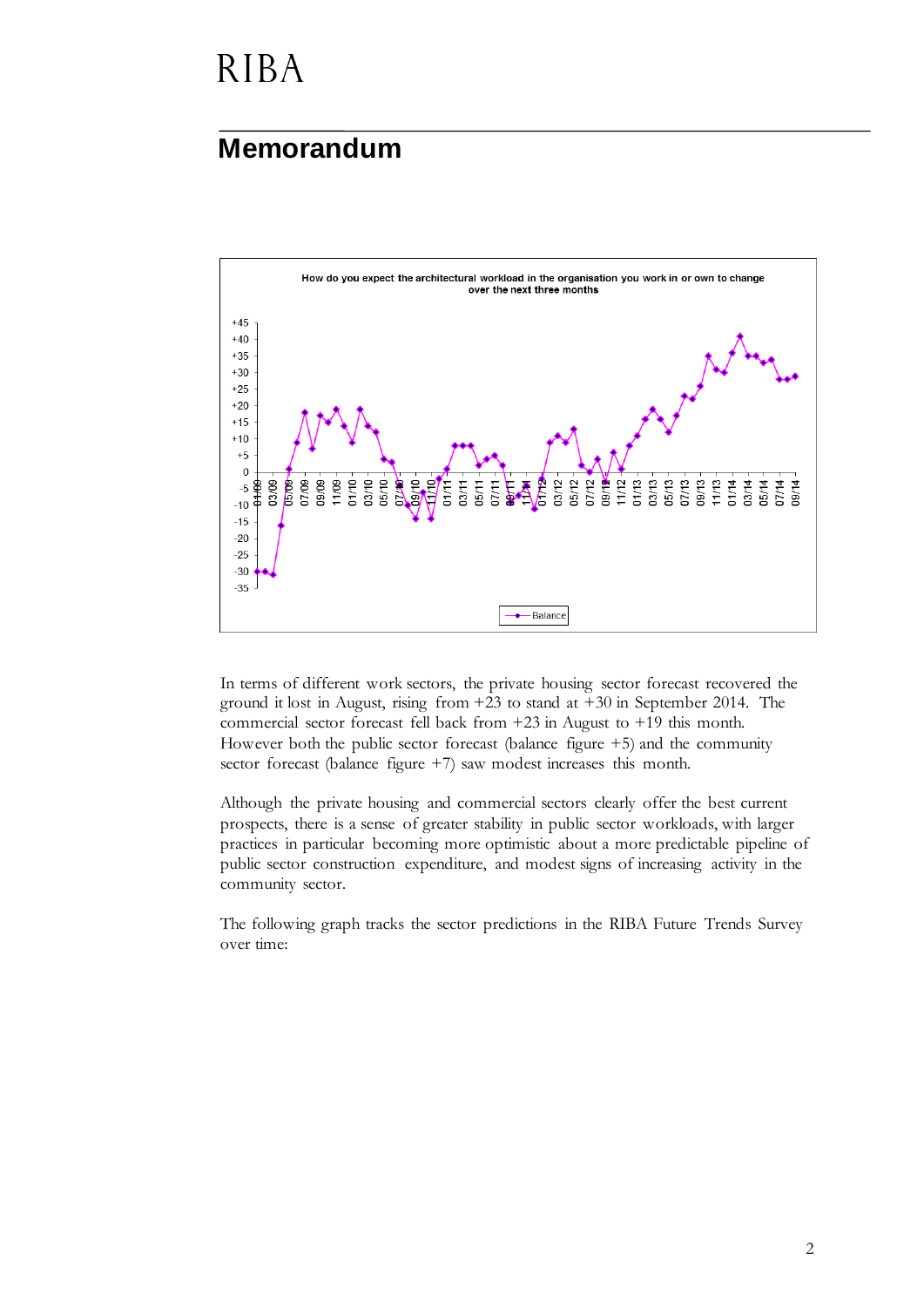# **RIBA**

#### **Memorandum**



In terms of different work sectors, the private housing sector forecast recovered the ground it lost in August, rising from +23 to stand at +30 in September 2014. The commercial sector forecast fell back from +23 in August to +19 this month. However both the public sector forecast (balance figure +5) and the community sector forecast (balance figure +7) saw modest increases this month.

Although the private housing and commercial sectors clearly offer the best current prospects, there is a sense of greater stability in public sector workloads, with larger practices in particular becoming more optimistic about a more predictable pipeline of public sector construction expenditure, and modest signs of increasing activity in the community sector.

The following graph tracks the sector predictions in the RIBA Future Trends Survey over time: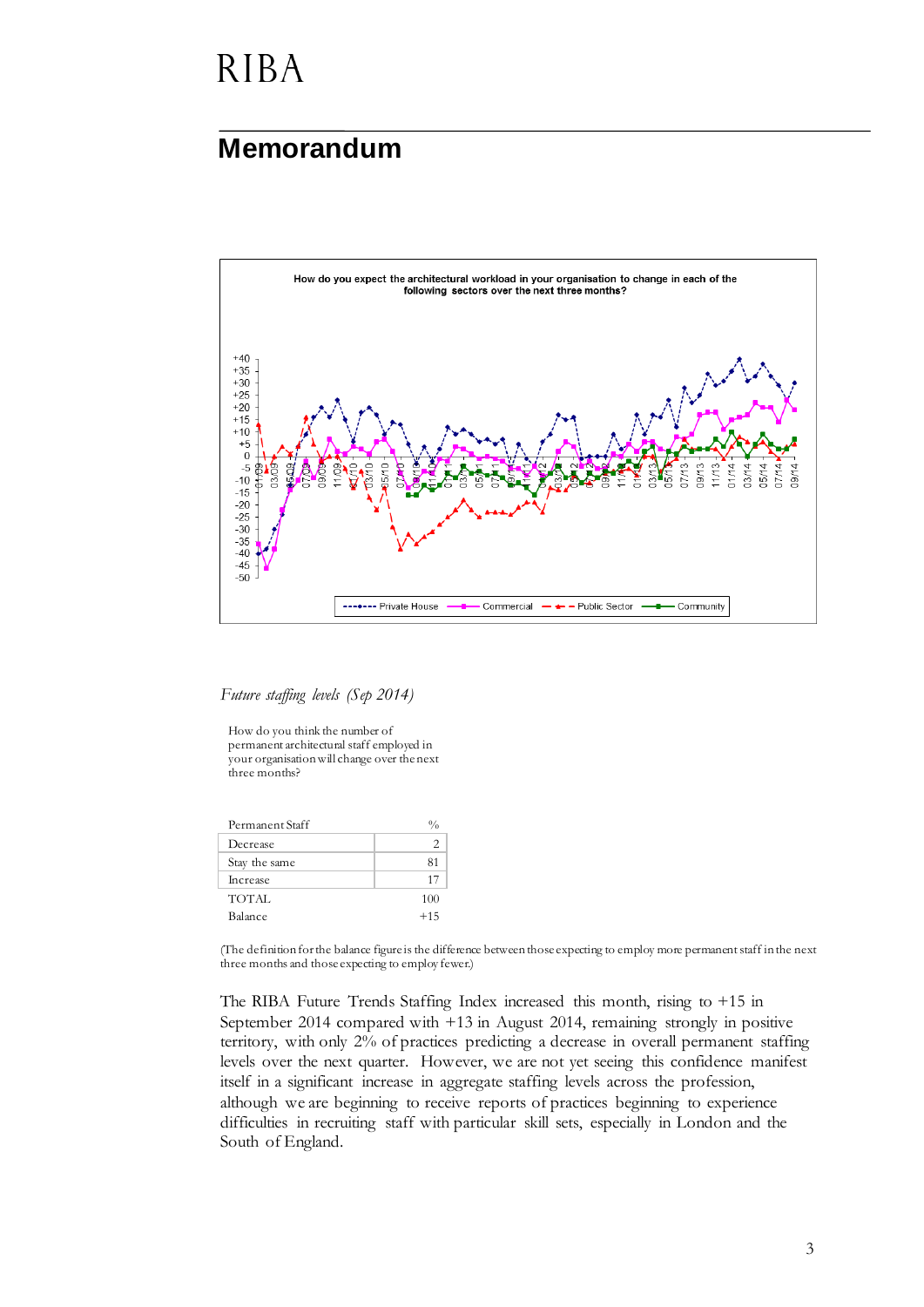## **RIBA**

#### **Memorandum**



*Future staffing levels (Sep 2014)*

How do you think the number of permanent architectural staff employed in your organisation will change over the next three months?

| Permanent Staff |       |
|-----------------|-------|
| Decrease        | 2     |
| Stay the same   | 81    |
| Increase        | 17    |
| TOTAL           | 100   |
| Balance         | $+15$ |

(The definition for the balance figure is the difference between those expecting to employ more permanent staff in the next three months and those expecting to employ fewer.)

The RIBA Future Trends Staffing Index increased this month, rising to +15 in September 2014 compared with +13 in August 2014, remaining strongly in positive territory, with only 2% of practices predicting a decrease in overall permanent staffing levels over the next quarter. However, we are not yet seeing this confidence manifest itself in a significant increase in aggregate staffing levels across the profession, although we are beginning to receive reports of practices beginning to experience difficulties in recruiting staff with particular skill sets, especially in London and the South of England.